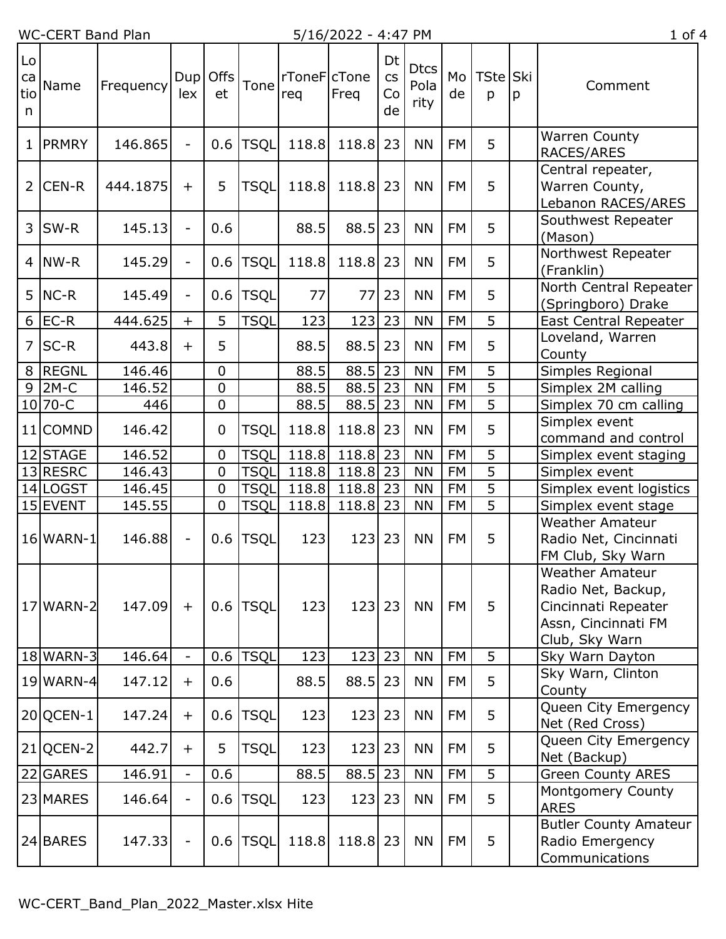## WC-CERT Band Plan 5/16/2022 - 4:47 PM 1 of 4

| Lo<br>ca<br>tio<br>n | Name         | Frequency | Dup<br>lex                   | <b>Offs</b><br>et | Tone        | rToneFcTone<br>req | Freq     | Dt<br>$\mathsf{CS}\phantom{0}$<br>Co<br>de | <b>Dtcs</b><br>Pola<br>rity | Mo<br>de  | TSte Ski<br>p  | p | Comment                                                                                                      |
|----------------------|--------------|-----------|------------------------------|-------------------|-------------|--------------------|----------|--------------------------------------------|-----------------------------|-----------|----------------|---|--------------------------------------------------------------------------------------------------------------|
| 1                    | <b>PRMRY</b> | 146.865   | $\bar{\phantom{a}}$          | 0.6               | <b>TSQL</b> | 118.8              | 118.8    | 23                                         | <b>NN</b>                   | <b>FM</b> | 5              |   | <b>Warren County</b><br>RACES/ARES                                                                           |
| 2                    | CEN-R        | 444.1875  | $\ddot{}$                    | 5                 | <b>TSQL</b> | 118.8              | 118.8    | 23                                         | <b>NN</b>                   | <b>FM</b> | 5              |   | Central repeater,<br>Warren County,<br>Lebanon_RACES/ARES                                                    |
| 3                    | SW-R         | 145.13    | $\bar{\phantom{a}}$          | 0.6               |             | 88.5               | 88.5     | 23                                         | <b>NN</b>                   | <b>FM</b> | 5              |   | Southwest Repeater<br>(Mason)                                                                                |
| $\overline{4}$       | NW-R         | 145.29    | $\blacksquare$               | 0.6               | <b>TSQL</b> | 118.8              | 118.8    | 23                                         | <b>NN</b>                   | <b>FM</b> | 5              |   | Northwest Repeater<br>(Franklin)                                                                             |
| 5                    | $NC-R$       | 145.49    | $\overline{\phantom{a}}$     | 0.6               | <b>TSQL</b> | 77                 | 77       | 23                                         | <b>NN</b>                   | <b>FM</b> | 5              |   | North Central Repeater<br>(Springboro) Drake                                                                 |
| 6                    | $EC-R$       | 444.625   | $+$                          | 5                 | <b>TSQL</b> | 123                | 123      | 23                                         | <b>NN</b>                   | <b>FM</b> | $\overline{5}$ |   | <b>East Central Repeater</b>                                                                                 |
| $\overline{7}$       | $SC-R$       | 443.8     | $+$                          | 5                 |             | 88.5               | 88.5     | 23                                         | <b>NN</b>                   | <b>FM</b> | 5              |   | Loveland, Warren<br>County                                                                                   |
| 8                    | <b>REGNL</b> | 146.46    |                              | $\mathbf 0$       |             | 88.5               | 88.5     | 23                                         | <b>NN</b>                   | <b>FM</b> | $\overline{5}$ |   | Simples Regional                                                                                             |
| 9                    | $2M-C$       | 146.52    |                              | $\mathbf 0$       |             | 88.5               | 88.5     | 23                                         | <b>NN</b>                   | <b>FM</b> | 5              |   | Simplex 2M calling                                                                                           |
|                      | 10 70-C      | 446       |                              | $\overline{0}$    |             | 88.5               | 88.5     | 23                                         | <b>NN</b>                   | <b>FM</b> | 5              |   | Simplex 70 cm calling                                                                                        |
|                      | 11 COMND     | 146.42    |                              | $\mathbf 0$       | <b>TSQL</b> | 118.8              | 118.8    | 23                                         | <b>NN</b>                   | <b>FM</b> | 5              |   | Simplex event<br>command and control                                                                         |
|                      | 12 STAGE     | 146.52    |                              | $\mathbf 0$       | <b>TSQL</b> | 118.8              | 118.8 23 |                                            | <b>NN</b>                   | <b>FM</b> | 5              |   | Simplex event staging                                                                                        |
|                      | 13 RESRC     | 146.43    |                              | $\mathbf 0$       | <b>TSQL</b> | 118.8              | 118.8    | 23                                         | <b>NN</b>                   | <b>FM</b> | $\overline{5}$ |   | Simplex event                                                                                                |
|                      | 14 LOGST     | 146.45    |                              | $\overline{0}$    | <b>TSQL</b> | 118.8              | 118.8    | 23                                         | <b>NN</b>                   | <b>FM</b> | $\overline{5}$ |   | Simplex event logistics                                                                                      |
|                      | 15 EVENT     | 145.55    |                              | 0                 | TSQL        | 118.8              | 118.8    | 23                                         | <b>NN</b>                   | <b>FM</b> | 5              |   | Simplex event stage                                                                                          |
|                      | 16 WARN-1    | 146.88    | $\qquad \qquad \blacksquare$ | 0.6               | <b>TSQL</b> | 123                | 123      | 23                                         | <b>NN</b>                   | <b>FM</b> | 5              |   | <b>Weather Amateur</b><br>Radio Net, Cincinnati<br>FM Club, Sky Warn                                         |
|                      | 17 WARN-2    | 147.09    | $+$                          | 0.6               | <b>TSQL</b> | 123                | $123$ 23 |                                            | <b>NN</b>                   | <b>FM</b> | 5              |   | <b>Weather Amateur</b><br>Radio Net, Backup,<br>Cincinnati Repeater<br>Assn, Cincinnati FM<br>Club, Sky Warn |
|                      | 18 WARN-3    | 146.64    | $\overline{\phantom{a}}$     | 0.6               | <b>TSQL</b> | 123                | $123$ 23 |                                            | <b>NN</b>                   | <b>FM</b> | 5              |   | Sky Warn Dayton                                                                                              |
|                      | 19 WARN-4    | 147.12    | $+$                          | 0.6               |             | 88.5               | 88.5     | 23                                         | <b>NN</b>                   | <b>FM</b> | 5              |   | Sky Warn, Clinton<br>County                                                                                  |
|                      | 20 QCEN-1    | 147.24    | $+$                          | 0.6               | <b>TSQL</b> | 123                | 123      | 23                                         | <b>NN</b>                   | <b>FM</b> | 5              |   | Queen City Emergency<br>Net (Red Cross)                                                                      |
|                      | $21$ QCEN-2  | 442.7     | $\ddot{}$                    | 5                 | <b>TSQL</b> | 123                | $123$ 23 |                                            | <b>NN</b>                   | <b>FM</b> | 5              |   | Queen City Emergency<br>Net (Backup)                                                                         |
|                      | 22 GARES     | 146.91    | $\overline{a}$               | 0.6               |             | 88.5               | 88.5     | 23                                         | <b>NN</b>                   | <b>FM</b> | 5              |   | <b>Green County ARES</b>                                                                                     |
|                      | 23 MARES     | 146.64    | $\qquad \qquad \blacksquare$ | 0.6               | <b>TSQL</b> | 123                | 123      | 23                                         | <b>NN</b>                   | <b>FM</b> | 5              |   | Montgomery County<br><b>ARES</b>                                                                             |
|                      | 24 BARES     | 147.33    | $\qquad \qquad \blacksquare$ | 0.6               | <b>TSQL</b> | 118.8              | 118.8 23 |                                            | <b>NN</b>                   | <b>FM</b> | 5              |   | <b>Butler County Amateur</b><br>Radio Emergency<br>Communications                                            |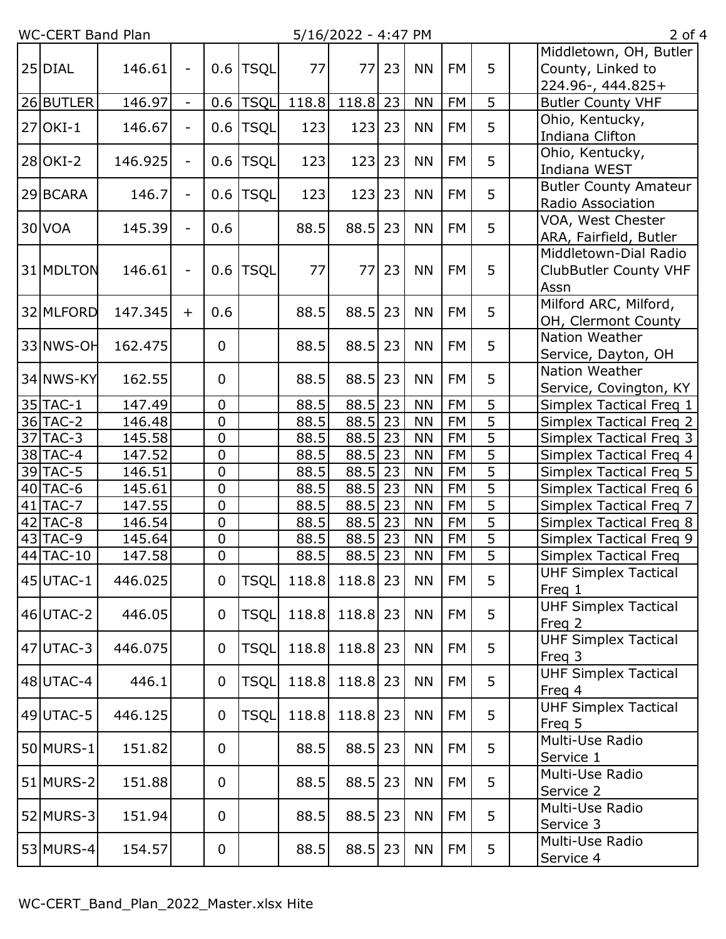WC-CERT Band Plan 5/16/2022 - 4:47 PM 2 of 4

| 25 DIAL   | 146.61  | $\overline{\phantom{a}}$ | 0.6            | <b>TSQL</b> | 77    | 77             | 23 | <b>NN</b> | FM        | 5              | Middletown, OH, Butler<br>County, Linked to<br>224.96-, 444.825+ |
|-----------|---------|--------------------------|----------------|-------------|-------|----------------|----|-----------|-----------|----------------|------------------------------------------------------------------|
| 26 BUTLER | 146.97  | $\blacksquare$           | 0.6            | <b>TSQL</b> | 118.8 | 118.8          | 23 | <b>NN</b> | <b>FM</b> | 5              | <b>Butler County VHF</b>                                         |
| 27 OKI-1  | 146.67  | $\overline{\phantom{a}}$ | 0.6            | TSQL        | 123   | 123            | 23 | <b>NN</b> | <b>FM</b> | 5              | Ohio, Kentucky,<br>Indiana Clifton                               |
| 28 OKI-2  | 146.925 | $\overline{\phantom{a}}$ | 0.6            | TSQL        | 123   | 123            | 23 | <b>NN</b> | <b>FM</b> | 5              | Ohio, Kentucky,<br>Indiana WEST                                  |
| 29 BCARA  | 146.7   | $\blacksquare$           | 0.6            | <b>TSQL</b> | 123   | 123            | 23 | <b>NN</b> | <b>FM</b> | 5              | <b>Butler County Amateur</b><br>Radio Association                |
| 30 VOA    | 145.39  | $\overline{\phantom{a}}$ | 0.6            |             | 88.5  | 88.5           | 23 | <b>NN</b> | <b>FM</b> | 5              | VOA, West Chester<br>ARA, Fairfield, Butler                      |
| 31 MDLTON | 146.61  | $\overline{\phantom{a}}$ | 0.6            | <b>TSQL</b> | 77    | 77             | 23 | <b>NN</b> | FM        | 5              | Middletown-Dial Radio<br><b>ClubButler County VHF</b><br>Assn    |
| 32 MLFORD | 147.345 | $+$                      | 0.6            |             | 88.5  | 88.5           | 23 | <b>NN</b> | <b>FM</b> | 5              | Milford ARC, Milford,<br>OH, Clermont County                     |
| 33 NWS-OH | 162.475 |                          | $\mathbf 0$    |             | 88.5  | 88.5           | 23 | <b>NN</b> | <b>FM</b> | 5              | Nation Weather<br>Service, Dayton, OH                            |
| 34 NWS-KY | 162.55  |                          | $\mathbf 0$    |             | 88.5  | 88.5           | 23 | <b>NN</b> | FM        | 5              | Nation Weather<br>Service, Covington, KY                         |
| 35 TAC-1  | 147.49  |                          | 0              |             | 88.5  | 88.5           | 23 | <b>NN</b> | <b>FM</b> | 5              | Simplex Tactical Freq 1                                          |
| 36 TAC-2  | 146.48  |                          | $\overline{0}$ |             | 88.5  | 88.5           | 23 | <b>NN</b> | <b>FM</b> | 5              | Simplex Tactical Freq 2                                          |
| 37 TAC-3  | 145.58  |                          | $\pmb{0}$      |             | 88.5  | 88.5           | 23 | <b>NN</b> | <b>FM</b> | $\overline{5}$ | Simplex Tactical Freq 3                                          |
| 38 TAC-4  | 147.52  |                          | 0              |             | 88.5  | 88.5           | 23 | <b>NN</b> | <b>FM</b> | 5              | Simplex Tactical Freq 4                                          |
| 39 TAC-5  | 146.51  |                          | $\overline{0}$ |             | 88.5  | 88.5           | 23 | <b>NN</b> | <b>FM</b> | $\overline{5}$ | <b>Simplex Tactical Freq 5</b>                                   |
| 40 TAC-6  | 145.61  |                          | $\pmb{0}$      |             | 88.5  | 88.5           | 23 | <b>NN</b> | <b>FM</b> | $\overline{5}$ | Simplex Tactical Freq 6                                          |
| 41 TAC-7  | 147.55  |                          | $\mathbf 0$    |             | 88.5  | 88.5           | 23 | <b>NN</b> | <b>FM</b> | $\overline{5}$ | Simplex Tactical Freq 7                                          |
| 42 TAC-8  | 146.54  |                          | $\mathbf 0$    |             | 88.5  | 88.5           | 23 | <b>NN</b> | <b>FM</b> | $\overline{5}$ | Simplex Tactical Freq 8                                          |
| 43 TAC-9  | 145.64  |                          | $\pmb{0}$      |             | 88.5  | 88.5           | 23 | <b>NN</b> | <b>FM</b> | $\overline{5}$ | Simplex Tactical Freq 9                                          |
| 44 TAC-10 | 147.58  |                          | $\pmb{0}$      |             | 88.5  | 88.5           | 23 | <b>NN</b> | <b>FM</b> | $\overline{5}$ | Simplex Tactical Freq                                            |
| 45 UTAC-1 | 446.025 |                          | $\mathbf 0$    | <b>TSQL</b> |       | 118.8 118.8 23 |    | <b>NN</b> | <b>FM</b> | 5              | <b>UHF Simplex Tactical</b><br>Freq 1                            |
| 46 UTAC-2 | 446.05  |                          | $\mathbf 0$    | <b>TSQL</b> | 118.8 | 118.8 23       |    | <b>NN</b> | FM        | 5              | <b>UHF Simplex Tactical</b><br>Freg 2                            |
| 47 UTAC-3 | 446.075 |                          | $\mathbf 0$    | TSQL        | 118.8 | 118.8 23       |    | <b>NN</b> | <b>FM</b> | 5              | <b>UHF Simplex Tactical</b><br>Freq 3                            |
| 48 UTAC-4 | 446.1   |                          | $\mathbf 0$    | TSQL        | 118.8 | 118.8 23       |    | <b>NN</b> | <b>FM</b> | 5              | <b>UHF Simplex Tactical</b><br>Freq 4                            |
| 49 UTAC-5 | 446.125 |                          | $\mathbf 0$    | <b>TSQL</b> | 118.8 | 118.8 23       |    | <b>NN</b> | FM        | 5              | <b>UHF Simplex Tactical</b><br>Freq 5                            |
| 50 MURS-1 | 151.82  |                          | $\mathbf 0$    |             | 88.5  | 88.5           | 23 | <b>NN</b> | <b>FM</b> | 5              | Multi-Use Radio<br>Service 1                                     |
| 51 MURS-2 | 151.88  |                          | $\mathbf 0$    |             | 88.5  | 88.5           | 23 | <b>NN</b> | FM        | 5              | Multi-Use Radio<br>Service 2                                     |
| 52 MURS-3 | 151.94  |                          | $\mathbf 0$    |             | 88.5  | 88.5 23        |    | <b>NN</b> | <b>FM</b> | 5              | Multi-Use Radio<br>Service 3                                     |
| 53 MURS-4 | 154.57  |                          | $\mathbf 0$    |             | 88.5  | $88.5$ 23      |    | <b>NN</b> | FM        | 5              | Multi-Use Radio<br>Service 4                                     |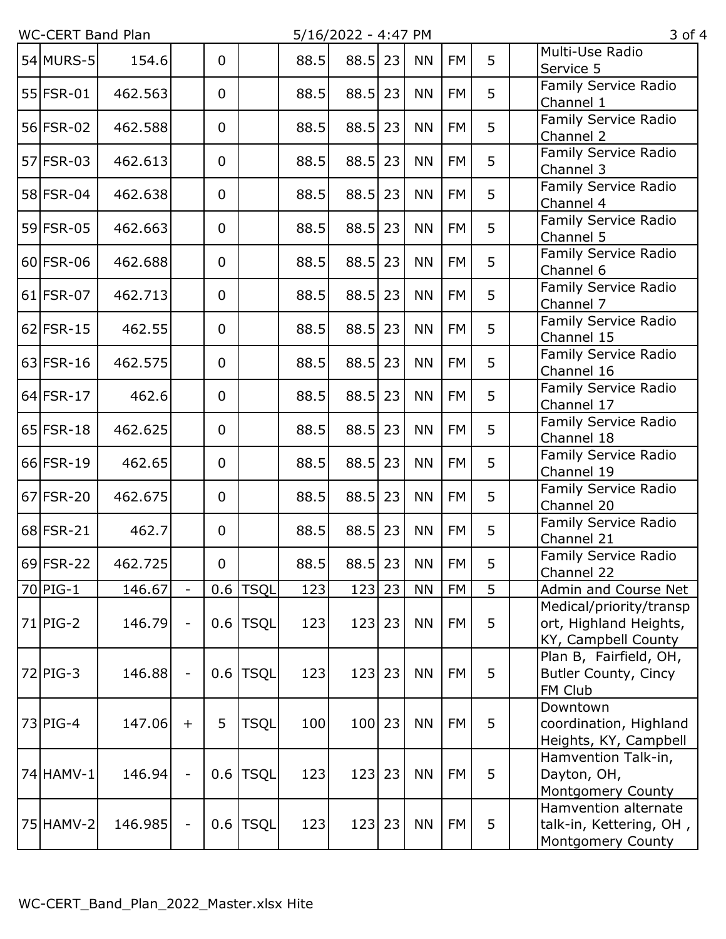$5/16/2022 - 4:47$  PM 3 of 4

|             |         |                          |                |             |      | $-7 + 9 + 12$ |    | . . <i>. .</i> |           |   |                                                                          |
|-------------|---------|--------------------------|----------------|-------------|------|---------------|----|----------------|-----------|---|--------------------------------------------------------------------------|
| 54 MURS-5   | 154.6   |                          | $\overline{0}$ |             | 88.5 | $88.5$ 23     |    | <b>NN</b>      | <b>FM</b> | 5 | Multi-Use Radio<br>Service 5                                             |
| 55 FSR-01   | 462.563 |                          | $\overline{0}$ |             | 88.5 | 88.5          | 23 | <b>NN</b>      | <b>FM</b> | 5 | Family Service Radio<br>Channel 1                                        |
| 56 FSR-02   | 462.588 |                          | $\overline{0}$ |             | 88.5 | 88.5          | 23 | <b>NN</b>      | FM        | 5 | Family Service Radio<br>Channel 2                                        |
| 57 FSR-03   | 462.613 |                          | $\mathbf 0$    |             | 88.5 | 88.5          | 23 | <b>NN</b>      | <b>FM</b> | 5 | Family Service Radio<br>Channel 3                                        |
| 58 FSR-04   | 462.638 |                          | $\overline{0}$ |             | 88.5 | 88.5          | 23 | <b>NN</b>      | <b>FM</b> | 5 | Family Service Radio<br>Channel 4                                        |
| 59 FSR-05   | 462.663 |                          | 0              |             | 88.5 | 88.5          | 23 | <b>NN</b>      | <b>FM</b> | 5 | Family Service Radio<br>Channel 5                                        |
| 60 FSR-06   | 462.688 |                          | $\overline{0}$ |             | 88.5 | $88.5$   23   |    | <b>NN</b>      | <b>FM</b> | 5 | Family Service Radio<br>Channel 6                                        |
| $61$ FSR-07 | 462.713 |                          | $\mathbf 0$    |             | 88.5 | $88.5$ 23     |    | <b>NN</b>      | <b>FM</b> | 5 | Family Service Radio<br>Channel 7                                        |
| $62$ FSR-15 | 462.55  |                          | $\overline{0}$ |             | 88.5 | 88.5          | 23 | <b>NN</b>      | <b>FM</b> | 5 | Family Service Radio<br>Channel 15                                       |
| $63$ FSR-16 | 462.575 |                          | $\overline{0}$ |             | 88.5 | 88.5          | 23 | <b>NN</b>      | <b>FM</b> | 5 | Family Service Radio<br>Channel 16                                       |
| $64$ FSR-17 | 462.6   |                          | $\mathbf 0$    |             | 88.5 | 88.5          | 23 | <b>NN</b>      | <b>FM</b> | 5 | Family Service Radio<br>Channel 17                                       |
| $65$ FSR-18 | 462.625 |                          | $\overline{0}$ |             | 88.5 | 88.5          | 23 | <b>NN</b>      | <b>FM</b> | 5 | Family Service Radio<br>Channel 18                                       |
| 66 FSR-19   | 462.65  |                          | $\overline{0}$ |             | 88.5 | 88.5          | 23 | <b>NN</b>      | <b>FM</b> | 5 | Family Service Radio<br>Channel 19                                       |
| 67 FSR-20   | 462.675 |                          | $\mathbf 0$    |             | 88.5 | 88.5          | 23 | <b>NN</b>      | <b>FM</b> | 5 | Family Service Radio<br>Channel 20                                       |
| 68 FSR-21   | 462.7   |                          | $\overline{0}$ |             | 88.5 | 88.5          | 23 | <b>NN</b>      | <b>FM</b> | 5 | Family Service Radio<br>Channel 21                                       |
| 69 FSR-22   | 462.725 |                          | $\mathbf 0$    |             | 88.5 | $88.5$   23   |    | <b>NN</b>      | <b>FM</b> | 5 | Family Service Radio<br>Channel 22                                       |
| 70 PIG-1    | 146.67  | $\blacksquare$           | 0.6            | <b>TSQL</b> | 123  | 123           | 23 | <b>NN</b>      | <b>FM</b> | 5 | Admin and Course Net                                                     |
| $71$ PIG-2  | 146.79  | $\overline{\phantom{a}}$ | 0.6            | <b>TSQL</b> | 123  | 123           | 23 | <b>NN</b>      | <b>FM</b> | 5 | Medical/priority/transp<br>ort, Highland Heights,<br>KY, Campbell County |
| 72 PIG-3    | 146.88  | $\overline{\phantom{a}}$ | 0.6            | <b>TSQL</b> | 123  | 123           | 23 | <b>NN</b>      | <b>FM</b> | 5 | Plan B, Fairfield, OH,<br>Butler County, Cincy<br>FM Club                |
| $73$ PIG-4  | 147.06  | $+$                      | 5              | <b>TSQL</b> | 100  | 100 23        |    | <b>NN</b>      | <b>FM</b> | 5 | Downtown<br>coordination, Highland<br>Heights, KY, Campbell              |
| 74 HAMV-1   | 146.94  | $\overline{\phantom{a}}$ | 0.6            | <b>TSQL</b> | 123  | 123           | 23 | <b>NN</b>      | <b>FM</b> | 5 | Hamvention Talk-in,<br>Dayton, OH,<br><b>Montgomery County</b>           |
| 75 HAMV-2   | 146.985 | $\overline{\phantom{a}}$ | 0.6            | <b>TSQL</b> | 123  | 123           | 23 | <b>NN</b>      | FM        | 5 | Hamvention alternate<br>talk-in, Kettering, OH,<br>Montgomery County     |